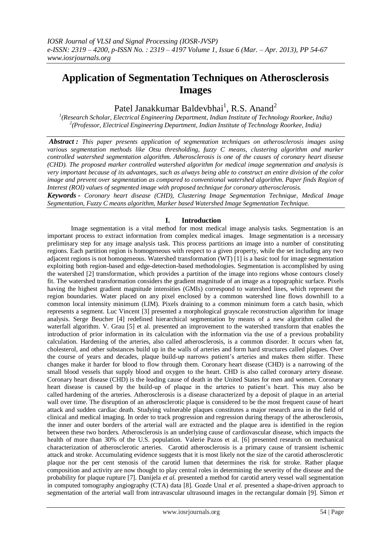# **Application of Segmentation Techniques on Atherosclerosis Images**

Patel Janakkumar Baldevbhai<sup>1</sup>, R.S. Anand<sup>2</sup>

*1 (Research Scholar, Electrical Engineering Department, Indian Institute of Technology Roorkee, India) 2 (Professor, Electrical Engineering Department, Indian Institute of Technology Roorkee, India)*

*Abstract : This paper presents application of segmentation techniques on atherosclerosis images using various segmentation methods like Otsu thresholding, fuzzy C means, clustering algorithm and marker controlled watershed segmentation algorithm. Atherosclerosis is one of the causes of coronary heart disease (CHD). The proposed marker controlled watershed algorithm for medical image segmentation and analysis is very important because of its advantages, such as always being able to construct an entire division of the color image and prevent over segmentation as compared to conventional watershed algorithm. Paper finds Region of Interest (ROI) values of segmented image with proposed technique for coronary atherosclerosis.*

*Keywords - Coronary heart disease (CHD), Clustering Image Segmentation Technique, Medical Image Segmentation, Fuzzy C means algorithm, Marker based Watershed Image Segmentation Technique.*

## **I. Introduction**

Image segmentation is a vital method for most medical image analysis tasks. Segmentation is an important process to extract information from complex medical images. Image segmentation is a necessary preliminary step for any image analysis task. This process partitions an image into a number of constituting regions. Each partition region is homogeneous with respect to a given property, while the set including any two adjacent regions is not homogeneous. Watershed transformation (WT) [1] is a basic tool for image segmentation exploiting both region-based and edge-detection-based methodologies. Segmentation is accomplished by using the watershed [2] transformation, which provides a partition of the image into regions whose contours closely fit. The watershed transformation considers the gradient magnitude of an image as a topographic surface. Pixels having the highest gradient magnitude intensities (GMIs) correspond to watershed lines, which represent the region boundaries. Water placed on any pixel enclosed by a common watershed line flows downhill to a common local intensity minimum (LIM). Pixels draining to a common minimum form a catch basin, which represents a segment. Luc Vincent [3] presented a morphological grayscale reconstruction algorithm for image analysis. Serge Beucher [4] redefined hierarchical segmentation by means of a new algorithm called the waterfall algorithm. V. Grau [5] et al. presented an improvement to the watershed transform that enables the introduction of prior information in its calculation with the information via the use of a previous probability calculation. Hardening of the arteries, also called atherosclerosis, is a common disorder. It occurs when fat, cholesterol, and other substances build up in the walls of arteries and form hard structures called plaques. Over the course of years and decades, plaque build-up narrows patient"s arteries and makes them stiffer. These changes make it harder for blood to flow through them. Coronary heart disease (CHD) is a narrowing of the small blood vessels that supply blood and oxygen to the heart. CHD is also called coronary artery disease. Coronary heart disease (CHD) is the leading cause of death in the United States for men and women. Coronary heart disease is caused by the build-up of plaque in the arteries to patient's heart. This may also be called hardening of the arteries. Atherosclerosis is a disease characterized by a deposit of plaque in an arterial wall over time. The disruption of an atherosclerotic plaque is considered to be the most frequent cause of heart attack and sudden cardiac death. Studying vulnerable plaques constitutes a major research area in the field of clinical and medical imaging. In order to track progression and regression during therapy of the atherosclerosis, the inner and outer borders of the arterial wall are extracted and the plaque area is identified in the region between these two borders. Atherosclerosis is an underlying cause of cardiovascular disease, which impacts the health of more than 30% of the U.S. population. Valerie Pazos et al. [6] presented research on mechanical characterization of atherosclerotic arteries. Carotid atherosclerosis is a primary cause of transient ischemic attack and stroke. Accumulating evidence suggests that it is most likely not the size of the carotid atherosclerotic plaque nor the per cent stenosis of the carotid lumen that determines the risk for stroke. Rather plaque composition and activity are now thought to play central roles in determining the severity of the disease and the probability for plaque rupture [7]. Danijela *et al.* presented a method for carotid artery vessel wall segmentation in computed tomography angiography (CTA) data [8]. Gozde Unal *et al.* presented a shape-driven approach to segmentation of the arterial wall from intravascular ultrasound images in the rectangular domain [9]. Simon *et*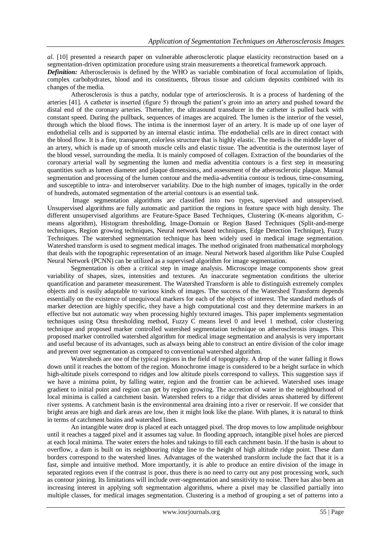*al.* [10] presented a research paper on vulnerable atherosclerotic plaque elasticity reconstruction based on a segmentation-driven optimization procedure using strain measurements a theoretical framework approach.

*Definition:* Atherosclerosis is defined by the WHO as variable combination of focal accumulation of lipids, complex carbohydrates, blood and its constituents, fibrous tissue and calcium deposits combined with its changes of the media.

Atherosclerosis is thus a patchy, nodular type of arteriosclerosis. It is a process of hardening of the arteries [41]. A catheter is inserted (figure 5) through the patient"s groin into an artery and pushed toward the distal end of the coronary arteries. Thereafter, the ultrasound transducer in the catheter is pulled back with constant speed. During the pullback, sequences of images are acquired. The lumen is the interior of the vessel, through which the blood flows. The intima is the innermost layer of an artery. It is made up of one layer of endothelial cells and is supported by an internal elastic intima. The endothelial cells are in direct contact with the blood flow. It is a fine, transparent, colorless structure that is highly elastic. The media is the middle layer of an artery, which is made up of smooth muscle cells and elastic tissue. The adventitia is the outermost layer of the blood vessel, surrounding the media. It is mainly composed of collagen. Extraction of the boundaries of the coronary arterial wall by segmenting the lumen and media adventitia contours is a first step in measuring quantities such as lumen diameter and plaque dimensions, and assessment of the atherosclerotic plaque. Manual segmentation and processing of the lumen contour and the media-adventitia contour is tedious, time-consuming, and susceptible to intra- and interobserver variability. Due to the high number of images, typically in the order of hundreds, automated segmentation of the arterial contours is an essential task.

Image segmentation algorithms are classified into two types, supervised and unsupervised. Unsupervised algorithms are fully automatic and partition the regions in feature space with high density. The different unsupervised algorithms are Feature-Space Based Techniques, Clustering (K-means algorithm, Cmeans algorithm), Histogram thresholding, Image-Domain or Region Based Techniques (Split-and-merge techniques, Region growing techniques, Neural network based techniques, Edge Detection Technique), Fuzzy Techniques. The watershed segmentation technique has been widely used in medical image segmentation. Watershed transform is used to segment medical images. The method originated from mathematical morphology that deals with the topographic representation of an image. Neural Network based algorithm like Pulse Coupled Neural Network (PCNN) can be utilized as a supervised algorithm for image segmentation.

Segmentation is often a critical step in image analysis. Microscope image components show great variability of shapes, sizes, intensities and textures. An inaccurate segmentation conditions the ulterior quantification and parameter measurement. The Watershed Transform is able to distinguish extremely complex objects and is easily adaptable to various kinds of images. The success of the Watershed Transform depends essentially on the existence of unequivocal markers for each of the objects of interest. The standard methods of marker detection are highly specific, they have a high computational cost and they determine markers in an effective but not automatic way when processing highly textured images. This paper implements segmentation techniques using Otsu thresholding method, Fuzzy C means level 0 and level 1 method, color clustering technique and proposed marker controlled watershed segmentation technique on atherosclerosis images. This proposed marker controlled watershed algorithm for medical image segmentation and analysis is very important and useful because of its advantages, such as always being able to construct an entire division of the color image and prevent over segmentation as compared to conventional watershed algorithm.

Watersheds are one of the typical regions in the field of topography. A drop of the water falling it flows down until it reaches the bottom of the region. Monochrome image is considered to be a height surface in which high-altitude pixels correspond to ridges and low altitude pixels correspond to valleys. This suggestion says if we have a minima point, by falling water, region and the frontier can be achieved. Watershed uses image gradient to initial point and region can get by region growing. The accretion of water in the neighbourhood of local minima is called a catchment basin. Watershed refers to a ridge that divides areas shattered by different river systems. A catchment basin is the environmental area draining into a river or reservoir. If we consider that bright areas are high and dark areas are low, then it might look like the plane. With planes, it is natural to think in terms of catchment basins and watershed lines.

An intangible water drop is placed at each untagged pixel. The drop moves to low amplitude neighbour until it reaches a tagged pixel and it assumes tag value. In flooding approach, intangible pixel holes are pierced at each local minima. The water enters the holes and takings to fill each catchment basin. If the basin is about to overflow, a dam is built on its neighbouring ridge line to the height of high altitude ridge point. These dam borders correspond to the watershed lines. Advantages of the watershed transform include the fact that it is a fast, simple and intuitive method. More importantly, it is able to produce an entire division of the image in separated regions even if the contrast is poor, thus there is no need to carry out any post processing work, such as contour joining. Its limitations will include over-segmentation and sensitivity to noise. There has also been an increasing interest in applying soft segmentation algorithms, where a pixel may be classified partially into multiple classes, for medical images segmentation. Clustering is a method of grouping a set of patterns into a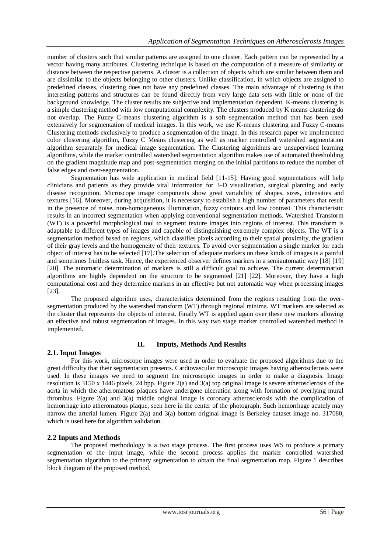number of clusters such that similar patterns are assigned to one cluster. Each pattern can be represented by a vector having many attributes. Clustering technique is based on the computation of a measure of similarity or distance between the respective patterns. A cluster is a collection of objects which are similar between them and are dissimilar to the objects belonging to other clusters. Unlike classification, in which objects are assigned to predefined classes, clustering does not have any predefined classes. The main advantage of clustering is that interesting patterns and structures can be found directly from very large data sets with little or none of the background knowledge. The cluster results are subjective and implementation dependent. K-means clustering is a simple clustering method with low computational complexity. The clusters produced by K means clustering do not overlap. The Fuzzy C-means clustering algorithm is a soft segmentation method that has been used extensively for segmentation of medical images. In this work, we use K-means clustering and Fuzzy C-means Clustering methods exclusively to produce a segmentation of the image. In this research paper we implemented color clustering algorithm, Fuzzy C Means clustering as well as marker controlled watershed segmentation algorithm separately for medical image segmentation. The Clustering algorithms are unsupervised learning algorithms, while the marker controlled watershed segmentation algorithm makes use of automated thresholding on the gradient magnitude map and post-segmentation merging on the initial partitions to reduce the number of false edges and over-segmentation.

Segmentation has wide application in medical field [11-15]. Having good segmentations will help clinicians and patients as they provide vital information for 3-D visualization, surgical planning and early disease recognition. Microscope image components show great variability of shapes, sizes, intensities and textures [16]. Moreover, during acquisition, it is necessary to establish a high number of parameters that result in the presence of noise, non-homogeneous illumination, fuzzy contours and low contrast. This characteristic results in an incorrect segmentation when applying conventional segmentation methods. Watershed Transform (WT) is a powerful morphological tool to segment texture images into regions of interest. This transform is adaptable to different types of images and capable of distinguishing extremely complex objects. The WT is a segmentation method based on regions, which classifies pixels according to their spatial proximity, the gradient of their gray levels and the homogeneity of their textures. To avoid over segmentation a single marker for each object of interest has to be selected [17].The selection of adequate markers on these kinds of images is a painful and sometimes fruitless task. Hence, the experienced observer defines markers in a semiautomatic way [18] [19] [20]. The automatic determination of markers is still a difficult goal to achieve. The current determination algorithms are highly dependent on the structure to be segmented [21] [22]. Moreover, they have a high computational cost and they determine markers in an effective but not automatic way when processing images [23].

The proposed algorithm uses, characteristics determined from the regions resulting from the oversegmentation produced by the watershed transform (WT) through regional minima. WT markers are selected as the cluster that represents the objects of interest. Finally WT is applied again over these new markers allowing an effective and robust segmentation of images. In this way two stage marker controlled watershed method is implemented.

# **II. Inputs, Methods And Results**

## **2.1. Input Images**

For this work, microscope images were used in order to evaluate the proposed algorithms due to the great difficulty that their segmentation presents. Cardiovascular microscopic images having atherosclerosis were used. In these images we need to segment the microscopic images in order to make a diagnosis. Image resolution is 3150 x 1446 pixels, 24 bpp. Figure 2(a) and 3(a) top original image is severe atherosclerosis of the aorta in which the atheromatous plaques have undergone ulceration along with formation of overlying mural thrombus. Figure 2(a) and 3(a) middle original image is coronary atherosclerosis with the complication of hemorrhage into atheromatous plaque, seen here in the center of the photograph. Such hemorrhage acutely may narrow the arterial lumen. Figure 2(a) and 3(a) bottom original image is Berkeley dataset image no. 317080, which is used here for algorithm validation.

# **2.2 Inputs and Methods**

The proposed methodology is a two stage process. The first process uses WS to produce a primary segmentation of the input image, while the second process applies the marker controlled watershed segmentation algorithm to the primary segmentation to obtain the final segmentation map. Figure 1 describes block diagram of the proposed method.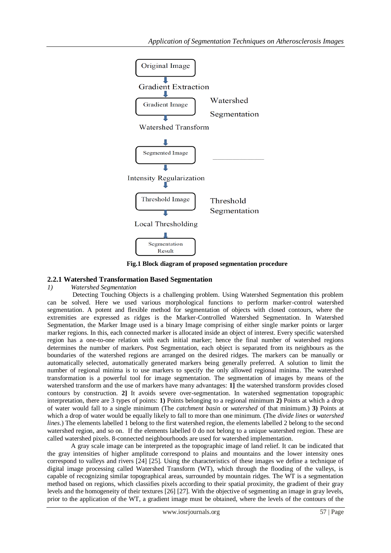

**Fig.1 Block diagram of proposed segmentation procedure**

## **2.2.1 Watershed Transformation Based Segmentation**

*1) Watershed Segmentation*

Detecting Touching Objects is a challenging problem. Using Watershed Segmentation this problem can be solved. Here we used various morphological functions to perform marker-control watershed segmentation. A potent and flexible method for segmentation of objects with closed contours, where the extremities are expressed as ridges is the Marker-Controlled Watershed Segmentation. In Watershed Segmentation, the Marker Image used is a binary Image comprising of either single marker points or larger marker regions. In this, each connected marker is allocated inside an object of interest. Every specific watershed region has a one-to-one relation with each initial marker; hence the final number of watershed regions determines the number of markers. Post Segmentation, each object is separated from its neighbours as the boundaries of the watershed regions are arranged on the desired ridges. The markers can be manually or automatically selected, automatically generated markers being generally preferred. A solution to limit the number of regional minima is to use markers to specify the only allowed regional minima. The watershed transformation is a powerful tool for image segmentation. The segmentation of images by means of the watershed transform and the use of markers have many advantages: **1]** the watershed transform provides closed contours by construction. **2]** It avoids severe over-segmentation. In watershed segmentation topographic interpretation, there are 3 types of points: **1)** Points belonging to a regional minimum **2)** Points at which a drop of water would fall to a single minimum (The *catchment basin* or *watershed* of that minimum.) **3)** Points at which a drop of water would be equally likely to fall to more than one minimum. (The *divide lines* or *watershed lines*.) The elements labelled 1 belong to the first watershed region, the elements labelled 2 belong to the second watershed region, and so on. If the elements labelled 0 do not belong to a unique watershed region. These are called watershed pixels. 8-connected neighbourhoods are used for watershed implementation.

A gray scale image can be interpreted as the topographic image of land relief. It can be indicated that the gray intensities of higher amplitude correspond to plains and mountains and the lower intensity ones correspond to valleys and rivers [24] [25]. Using the characteristics of these images we define a technique of digital image processing called Watershed Transform (WT), which through the flooding of the valleys, is capable of recognizing similar topographical areas, surrounded by mountain ridges. The WT is a segmentation method based on regions, which classifies pixels according to their spatial proximity, the gradient of their gray levels and the homogeneity of their textures [26] [27]. With the objective of segmenting an image in gray levels, prior to the application of the WT, a gradient image must be obtained, where the levels of the contours of the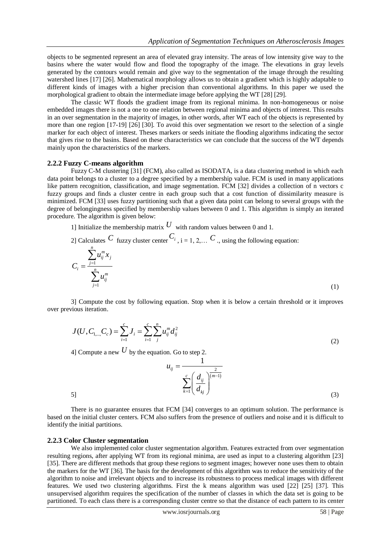objects to be segmented represent an area of elevated gray intensity. The areas of low intensity give way to the basins where the water would flow and flood the topography of the image. The elevations in gray levels generated by the contours would remain and give way to the segmentation of the image through the resulting watershed lines [17] [26]. Mathematical morphology allows us to obtain a gradient which is highly adaptable to different kinds of images with a higher precision than conventional algorithms. In this paper we used the morphological gradient to obtain the intermediate image before applying the WT [28] [29].

The classic WT floods the gradient image from its regional minima. In non-homogeneous or noise embedded images there is not a one to one relation between regional minima and objects of interest. This results in an over segmentation in the majority of images, in other words, after WT each of the objects is represented by more than one region [17-19] [26] [30]. To avoid this over segmentation we resort to the selection of a single marker for each object of interest. Theses markers or seeds initiate the flooding algorithms indicating the sector that gives rise to the basins. Based on these characteristics we can conclude that the success of the WT depends mainly upon the characteristics of the markers.

#### **2.2.2 Fuzzy C-means algorithm**

Fuzzy C-M clustering [31] (FCM), also called as ISODATA, is a data clustering method in which each data point belongs to a cluster to a degree specified by a membership value. FCM is used in many applications like pattern recognition, classification, and image segmentation. FCM [32] divides a collection of n vectors c fuzzy groups and finds a cluster centre in each group such that a cost function of dissimilarity measure is minimized. FCM [33] uses fuzzy partitioning such that a given data point can belong to several groups with the degree of belongingness specified by membership values between 0 and 1. This algorithm is simply an iterated procedure. The algorithm is given below:

1] Initialize the membership matrix  $U$  with random values between 0 and 1.

2] Calculates C fuzzy cluster center  $C_i$ ,  $i = 1, 2,...$  C ., using the following equation:

$$
C_i = \frac{\sum_{j=1}^{n} u_{ij}^m x_j}{\sum_{j=1}^{n} u_{ij}^m}
$$
 (1)

3] Compute the cost by following equation. Stop when it is below a certain threshold or it improves over previous iteration.

$$
J(U, C_{1,\dots, C_c}) = \sum_{i=1}^{c} J_i = \sum_{i=1}^{c} \sum_{j=1}^{n} u_{ij}^{m} d_{ij}^{2}
$$
\n(2)

4] Compute a new  $U$  by the equation. Go to step 2.



5]

There is no guarantee ensures that FCM [34] converges to an optimum solution. The performance is based on the initial cluster centers. FCM also suffers from the presence of outliers and noise and it is difficult to identify the initial partitions.

#### **2.2.3 Color Cluster segmentation**

We also implemented color cluster segmentation algorithm. Features extracted from over segmentation resulting regions, after applying WT from its regional minima, are used as input to a clustering algorithm [23] [35]. There are different methods that group these regions to segment images; however none uses them to obtain the markers for the WT [36]. The basis for the development of this algorithm was to reduce the sensitivity of the algorithm to noise and irrelevant objects and to increase its robustness to process medical images with different features. We used two clustering algorithms. First the k means algorithm was used [22] [25] [37]. This unsupervised algorithm requires the specification of the number of classes in which the data set is going to be partitioned. To each class there is a corresponding cluster centre so that the distance of each pattern to its center

(3)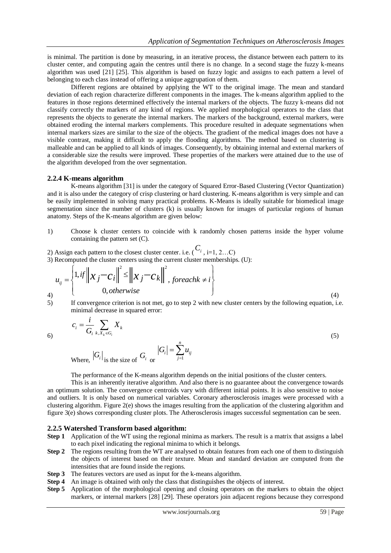is minimal. The partition is done by measuring, in an iterative process, the distance between each pattern to its cluster center, and computing again the centres until there is no change. In a second stage the fuzzy k-means algorithm was used [21] [25]. This algorithm is based on fuzzy logic and assigns to each pattern a level of belonging to each class instead of offering a unique aggrupation of them.

Different regions are obtained by applying the WT to the original image. The mean and standard deviation of each region characterize different components in the images. The k-means algorithm applied to the features in those regions determined effectively the internal markers of the objects. The fuzzy k-means did not classify correctly the markers of any kind of regions. We applied morphological operators to the class that represents the objects to generate the internal markers. The markers of the background, external markers, were obtained eroding the internal markers complements. This procedure resulted in adequate segmentations when internal markers sizes are similar to the size of the objects. The gradient of the medical images does not have a visible contrast, making it difficult to apply the flooding algorithms. The method based on clustering is malleable and can be applied to all kinds of images. Consequently, by obtaining internal and external markers of a considerable size the results were improved. These properties of the markers were attained due to the use of the algorithm developed from the over segmentation.

### **2.2.4 K-means algorithm**

K-means algorithm [31] is under the category of Squared Error-Based Clustering (Vector Quantization) and it is also under the category of crisp clustering or hard clustering. K-means algorithm is very simple and can be easily implemented in solving many practical problems. K-Means is ideally suitable for biomedical image segmentation since the number of clusters (k) is usually known for images of particular regions of human anatomy. Steps of the K-means algorithm are given below:

- 1) Choose k cluster centers to coincide with k randomly chosen patterns inside the hyper volume containing the pattern set (C).
- 

2) Assign each pattern to the closest cluster center. i.e. 
$$
(C_i, i=1, 2...C)
$$
  
\n3) Recomputed the cluster centers using the current cluster membership. (U):  
\n
$$
u_{ij} = \begin{cases} 1, & \text{if } ||x_j - c_i||^2 \le ||x_j - c_k||^2, & \text{for each } k \neq i \\ 0, & \text{otherwise} \end{cases}
$$

5) If convergence criterion is not met, go to step 2 with new cluster centers by the following equation, i.e. minimal decrease in squared error:

$$
c_i = \frac{i}{G_i} \sum_{k, X_k \in G_i} X_k
$$
\n
$$
|G| \qquad G_i = \sum_{i=1}^{n} u_{ij}
$$
\n
$$
(5)
$$

6)

Where,  $|G_i|$  is the size of  $G_i$  or 1 *j*

The performance of the K-means algorithm depends on the initial positions of the cluster centers.

This is an inherently iterative algorithm. And also there is no guarantee about the convergence towards an optimum solution. The convergence centroids vary with different initial points. It is also sensitive to noise and outliers. It is only based on numerical variables. Coronary atherosclerosis images were processed with a clustering algorithm. Figure 2(e) shows the images resulting from the application of the clustering algorithm and figure 3(e) shows corresponding cluster plots. The Atherosclerosis images successful segmentation can be seen.

#### **2.2.5 Watershed Transform based algorithm:**

- **Step 1** Application of the WT using the regional minima as markers. The result is a matrix that assigns a label to each pixel indicating the regional minima to which it belongs.
- **Step 2** The regions resulting from the WT are analysed to obtain features from each one of them to distinguish the objects of interest based on their texture. Mean and standard deviation are computed from the intensities that are found inside the regions.
- **Step 3** The features vectors are used as input for the k-means algorithm.
- **Step 4** An image is obtained with only the class that distinguishes the objects of interest.
- **Step 5** Application of the morphological opening and closing operators on the markers to obtain the object markers, or internal markers [28] [29]. These operators join adjacent regions because they correspond

(4)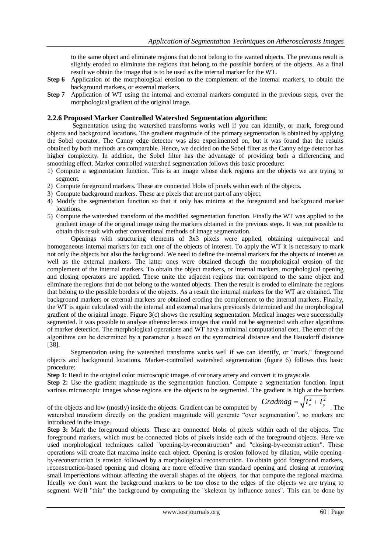to the same object and eliminate regions that do not belong to the wanted objects. The previous result is slightly eroded to eliminate the regions that belong to the possible borders of the objects. As a final result we obtain the image that is to be used as the internal marker for the WT.

- **Step 6** Application of the morphological erosion to the complement of the internal markers, to obtain the background markers, or external markers.
- **Step 7** Application of WT using the internal and external markers computed in the previous steps, over the morphological gradient of the original image.

## **2.2.6 Proposed Marker Controlled Watershed Segmentation algorithm:**

Segmentation using the watershed transforms works well if you can identify, or mark, foreground objects and background locations. The gradient magnitude of the primary segmentation is obtained by applying the Sobel operator. The Canny edge detector was also experimented on, but it was found that the results obtained by both methods are comparable. Hence, we decided on the Sobel filter as the Canny edge detector has higher complexity. In addition, the Sobel filter has the advantage of providing both a differencing and smoothing effect. Marker controlled watershed segmentation follows this basic procedure:

- 1) Compute a segmentation function. This is an image whose dark regions are the objects we are trying to segment.
- 2) Compute foreground markers. These are connected blobs of pixels within each of the objects.
- 3) Compute background markers. These are pixels that are not part of any object.
- 4) Modify the segmentation function so that it only has minima at the foreground and background marker locations.
- 5) Compute the watershed transform of the modified segmentation function. Finally the WT was applied to the gradient image of the original image using the markers obtained in the previous steps. It was not possible to obtain this result with other conventional methods of image segmentation.

Openings with structuring elements of 3x3 pixels were applied, obtaining unequivocal and homogeneous internal markers for each one of the objects of interest. To apply the WT it is necessary to mark not only the objects but also the background. We need to define the internal markers for the objects of interest as well as the external markers. The latter ones were obtained through the morphological erosion of the complement of the internal markers. To obtain the object markers, or internal markers, morphological opening and closing operators are applied. These unite the adjacent regions that correspond to the same object and eliminate the regions that do not belong to the wanted objects. Then the result is eroded to eliminate the regions that belong to the possible borders of the objects. As a result the internal markers for the WT are obtained. The background markers or external markers are obtained eroding the complement to the internal markers. Finally, the WT is again calculated with the internal and external markers previously determined and the morphological gradient of the original image. Figure 3(c) shows the resulting segmentation. Medical images were successfully segmented. It was possible to analyse atherosclerosis images that could not be segmented with other algorithms of marker detection. The morphological operations and WT have a minimal computational cost. The error of the algorithms can be determined by a parameter μ based on the symmetrical distance and the Hausdorff distance [38].

Segmentation using the watershed transforms works well if we can identify, or "mark," foreground objects and background locations. Marker-controlled watershed segmentation (figure 6) follows this basic procedure:

**Step 1:** Read in the original color microscopic images of coronary artery and convert it to grayscale.

**Step 2:** Use the gradient magnitude as the segmentation function. Compute a segmentation function. Input various microscopic images whose regions are the objects to be segmented. The gradient is high at the borders

of the objects and low (mostly) inside the objects. Gradient can be computed by Gradmag =  $\sqrt{I_x^2 + I_y^2}$  . The watershed transform directly on the gradient magnitude will generate "over segmentation", so markers are introduced in the image.

**Step 3:** Mark the foreground objects. These are connected blobs of pixels within each of the objects. The foreground markers, which must be connected blobs of pixels inside each of the foreground objects. Here we used morphological techniques called "opening-by-reconstruction" and "closing-by-reconstruction". These operations will create flat maxima inside each object. Opening is erosion followed by dilation, while openingby-reconstruction is erosion followed by a morphological reconstruction. To obtain good foreground markers, reconstruction-based opening and closing are more effective than standard opening and closing at removing small imperfections without affecting the overall shapes of the objects, for that compute the regional maxima. Ideally we don't want the background markers to be too close to the edges of the objects we are trying to segment. We'll "thin" the background by computing the "skeleton by influence zones". This can be done by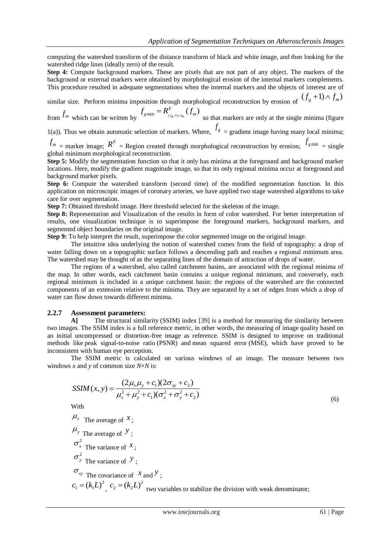computing the watershed transform of the distance transform of black and white image, and then looking for the watershed ridge lines (ideally zero) of the result.

**Step 4:** Compute background markers. These are pixels that are not part of any object. The markers of the background or external markers were obtained by morphological erosion of the internal markers complements. This procedure resulted in adequate segmentations when the internal markers and the objects of interest are of

similar size. Perform minima imposition through morphological reconstruction by erosion of  $(f_g + 1) \wedge f_m$ )

from  $f_m$  which can be written by  $f_{g_{min}} = R^E_{(f_g+1)\wedge f_m}(f_m)$  $f_{g\min} = R^E_{(f_{g}+1)\wedge f_m}(f_m)$ so that markers are only at the single minima (figure

1(a)). Thus we obtain automatic selection of markers. Where,  $f_g$  = gradient image having many local minima;

 $f_m$  = marker image;  $R^E$  = Region created through morphological reconstruction by erosion;  $f_{gmin}$  = single global minimum morphological reconstruction.

**Step 5:** Modify the segmentation function so that it only has minima at the foreground and background marker locations. Here, modify the gradient magnitude image, so that its only regional minima occur at foreground and background marker pixels.

**Step 6:** Compute the watershed transform (second time) of the modified segmentation function. In this application on microscopic images of coronary arteries, we have applied two stage watershed algorithms to take care for over segmentation.

**Step 7:** Obtained threshold image. Here threshold selected for the skeleton of the image.

**Step 8:** Representation and Visualization of the results in form of color watershed. For better interpretation of results, one visualization technique is to superimpose the foreground markers, background markers, and segmented object boundaries on the original image.

**Step 9:** To help interpret the result, superimpose the color segmented image on the original image.

The intuitive idea underlying the notion of watershed comes from the field of topography: a drop of water falling down on a topographic surface follows a descending path and reaches a regional minimum area. The watershed may be thought of as the separating lines of the domain of attraction of drops of water.

The regions of a watershed, also called catchment basins, are associated with the regional minima of the map. In other words, each catchment basin contains a unique regional minimum, and conversely, each regional minimum is included in a unique catchment basin: the regions of the watershed are the connected components of an extension relative to the minima. They are separated by a set of edges from which a drop of water can flow down towards different minima.

#### **2.2.7 Assessment parameters:**

**A]** The structural similarity (SSIM) index [39] is a method for measuring the similarity between two images. The SSIM index is a full reference metric, in other words, the measuring of image quality based on an initial uncompressed or distortion-free image as reference. SSIM is designed to improve on traditional methods like peak signal-to-noise ratio (PSNR) and mean squared error (MSE), which have proved to be inconsistent with human eye perception.

The SSIM metric is calculated on various windows of an image. The measure between two windows *x* and *y* of common size *N*×*N* is:

$$
SSIM(x, y) = \frac{(2\mu_x \mu_y + c_1)(2\sigma_{xy} + c_2)}{\mu_x^2 + \mu_y^2 + c_1(\sigma_x^2 + \sigma_y^2 + c_2)}
$$

With

 $\mu$ <sub>x</sub> The average of  $\chi$ ;  $\mu$ <sub>y</sub> The average of  $\mathcal{Y}$ ;  $\sigma_x^2$  The variance of  $x$ ;  $\sigma_{y}^{2}$  The variance of  $y$ ;  $\sigma_{xy}$  The covariance of  $x$  and  $y$ ;  $c_1 = (k_1 L)^2$ ,  $c_2 = (k_2 L)^2$  two variables to stabilize the division with weak denominator; (6)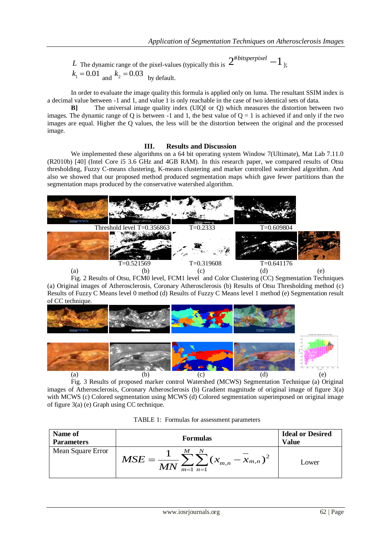*L* The dynamic range of the pixel-values (typically this is  $2^{\text{\#bitsperpixel}} - 1$ <sub>);</sub>  $k_1 = 0.01$  and  $k_2 = 0.03$  by default.

In order to evaluate the image quality this formula is applied only on luma. The resultant SSIM index is a decimal value between -1 and 1, and value 1 is only reachable in the case of two identical sets of data.

**B]** The universal image quality index (UIQI or Q) which measures the distortion between two images. The dynamic range of Q is between -1 and 1, the best value of  $Q = 1$  is achieved if and only if the two images are equal. Higher the Q values, the less will be the distortion between the original and the processed image.

## **III. Results and Discussion**

We implemented these algorithms on a 64 bit operating system Window 7(Ultimate), Mat Lab 7.11.0 (R2010b) [40] (Intel Core i5 3.6 GHz and 4GB RAM). In this research paper, we compared results of Otsu thresholding, Fuzzy C-means clustering, K-means clustering and marker controlled watershed algorithm. And also we showed that our proposed method produced segmentation maps which gave fewer partitions than the segmentation maps produced by the conservative watershed algorithm.



Fig. 2 Results of Otsu, FCM0 level, FCM1 level and Color Clustering (CC) Segmentation Techniques (a) Original images of Atherosclerosis, Coronary Atherosclerosis (b) Results of Otsu Thresholding method (c) Results of Fuzzy C Means level 0 method (d) Results of Fuzzy C Means level 1 method (e) Segmentation result of CC technique.



Fig. 3 Results of proposed marker control Watershed (MCWS) Segmentation Technique (a) Original images of Atherosclerosis, Coronary Atherosclerosis (b) Gradient magnitude of original image of figure 3(a) with MCWS (c) Colored segmentation using MCWS (d) Colored segmentation superimposed on original image of figure 3(a) (e) Graph using CC technique.

| Name of<br><b>Parameters</b> | <b>Formulas</b>                                                                  | <b>Ideal or Desired</b><br>Value |
|------------------------------|----------------------------------------------------------------------------------|----------------------------------|
| Mean Square Error            | $\boldsymbol{M}$<br>$-x_{m,n}$ )<br>$\mathcal{X}_{m,n}$<br>$M\!I$<br>$m=1$ $n=1$ | Lower                            |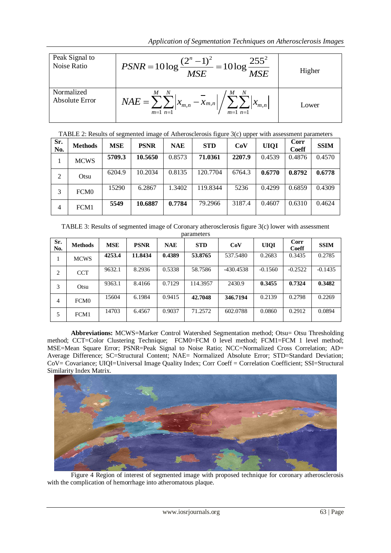*Application of Segmentation Techniques on Atherosclerosis Images*

|                               | <i>repriending a beginemation recurrights on runeroscierosis mage.</i>                                                                       |        |
|-------------------------------|----------------------------------------------------------------------------------------------------------------------------------------------|--------|
| Peak Signal to<br>Noise Ratio | $PSNR = 10 \log \frac{(2^{n}-1)^{2}}{MSE} = 10 \log \frac{255^{2}}{MSE}$                                                                     | Higher |
| Normalized<br>Absolute Error  | $NAE = \sum_{m=1}^{M} \sum_{n=1}^{N}  x_{m,n} - \overline{x}_{m,n}  / \sum_{n=1}^{N}$<br>$\sum_{m=1}^{\infty} \sum_{n=1}^{\infty}  x_{m,n} $ | Lower  |

TABLE 2: Results of segmented image of Atherosclerosis figure 3(c) upper with assessment parameters

| Sr.<br>No.     | <b>Methods</b>   | <b>MSE</b> | <b>PSNR</b> | <b>NAE</b> | <b>STD</b> | CoV    | <b>UIQI</b> | Corr<br><b>Coeff</b> | <b>SSIM</b> |
|----------------|------------------|------------|-------------|------------|------------|--------|-------------|----------------------|-------------|
| 1              | <b>MCWS</b>      | 5709.3     | 10.5650     | 0.8573     | 71.0361    | 2207.9 | 0.4539      | 0.4876               | 0.4570      |
| 2              | Otsu             | 6204.9     | 10.2034     | 0.8135     | 120.7704   | 6764.3 | 0.6770      | 0.8792               | 0.6778      |
| 3              | FCM <sub>0</sub> | 15290      | 6.2867      | 1.3402     | 119.8344   | 5236   | 0.4299      | 0.6859               | 0.4309      |
| $\overline{4}$ | FCM1             | 5549       | 10.6887     | 0.7784     | 79.2966    | 3187.4 | 0.4607      | 0.6310               | 0.4624      |

TABLE 3: Results of segmented image of Coronary atherosclerosis figure 3(c) lower with assessment parameters

| Sr.<br>No. | <b>Methods</b> | <b>MSE</b> | <b>PSNR</b> | <b>NAE</b> | <b>STD</b> | CoV         | <b>UIQI</b> | <b>Corr</b><br><b>Coeff</b> | <b>SSIM</b> |
|------------|----------------|------------|-------------|------------|------------|-------------|-------------|-----------------------------|-------------|
|            | <b>MCWS</b>    | 4253.4     | 11.8434     | 0.4389     | 53.8765    | 537.5480    | 0.2683      | 0.3435                      | 0.2785      |
| 2          | <b>CCT</b>     | 9632.1     | 8.2936      | 0.5338     | 58.7586    | $-430.4538$ | $-0.1560$   | $-0.2522$                   | $-0.1435$   |
| 3          | Otsu           | 9363.1     | 8.4166      | 0.7129     | 114.3957   | 2430.9      | 0.3455      | 0.7324                      | 0.3482      |
| 4          | <b>FCM0</b>    | 15604      | 6.1984      | 0.9415     | 42.7048    | 346.7194    | 0.2139      | 0.2798                      | 0.2269      |
| 5          | FCM1           | 14703      | 6.4567      | 0.9037     | 71.2572    | 602.0788    | 0.0860      | 0.2912                      | 0.0894      |

**Abbreviations:** MCWS=Marker Control Watershed Segmentation method; Otsu= Otsu Thresholding method; CCT=Color Clustering Technique; FCM0=FCM 0 level method; FCM1=FCM 1 level method; MSE=Mean Square Error; PSNR=Peak Signal to Noise Ratio; NCC=Normalized Cross Correlation; AD= Average Difference; SC=Structural Content; NAE= Normalized Absolute Error; STD=Standard Deviation; CoV= Covariance; UIQI=Universal Image Quality Index; Corr Coeff = Correlation Coefficient; SSI=Structural Similarity Index Matrix.



Figure 4 Region of interest of segmented image with proposed technique for coronary atherosclerosis with the complication of hemorrhage into atheromatous plaque.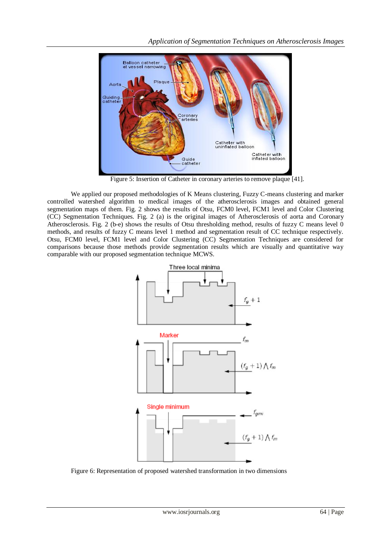

Figure 5: Insertion of Catheter in coronary arteries to remove plaque [41].

We applied our proposed methodologies of K Means clustering, Fuzzy C-means clustering and marker controlled watershed algorithm to medical images of the atherosclerosis images and obtained general segmentation maps of them. Fig. 2 shows the results of Otsu, FCM0 level, FCM1 level and Color Clustering (CC) Segmentation Techniques. Fig. 2 (a) is the original images of Atherosclerosis of aorta and Coronary Atherosclerosis. Fig. 2 (b-e) shows the results of Otsu thresholding method, results of fuzzy C means level 0 methods, and results of fuzzy C means level 1 method and segmentation result of CC technique respectively. Otsu, FCM0 level, FCM1 level and Color Clustering (CC) Segmentation Techniques are considered for comparisons because those methods provide segmentation results which are visually and quantitative way comparable with our proposed segmentation technique MCWS.



Figure 6: Representation of proposed watershed transformation in two dimensions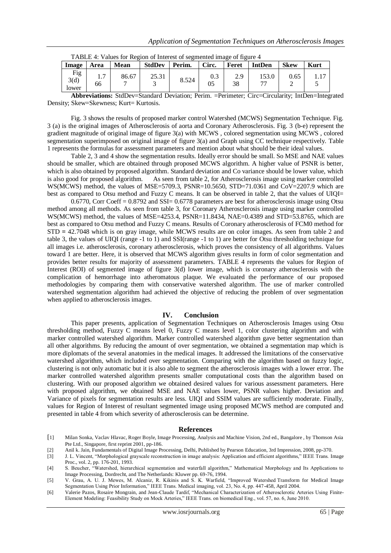|                      | TABLE 4. Values for Region of Interest of segmented mage of rigule 4 |       |               |        |           |           |               |             |             |  |
|----------------------|----------------------------------------------------------------------|-------|---------------|--------|-----------|-----------|---------------|-------------|-------------|--|
| Image                | Area                                                                 | Mean  | <b>StdDev</b> | Perim. | Circ.     | Feret     | <b>IntDen</b> | <b>Skew</b> | <b>Kurt</b> |  |
| Fig<br>3(d)<br>lower | $\overline{ }$<br>66                                                 | 86.67 | 25.31         | 8.524  | 0.3<br>05 | 2.9<br>38 | 153.0<br>−−   | 0.65        |             |  |

| TABLE 4: Values for Region of Interest of segmented image of figure 4 |  |  |  |
|-----------------------------------------------------------------------|--|--|--|
|                                                                       |  |  |  |

**Abbreviations:** StdDev=Standard Deviation; Perim. =Perimeter; Circ=Circularity; IntDen=Integrated Density; Skew=Skewness; Kurt= Kurtosis.

Fig. 3 shows the results of proposed marker control Watershed (MCWS) Segmentation Technique. Fig. 3 (a) is the original images of Atherosclerosis of aorta and Coronary Atherosclerosis. Fig. 3 (b-e) represent the gradient magnitude of original image of figure 3(a) with MCWS , colored segmentation using MCWS , colored segmentation superimposed on original image of figure 3(a) and Graph using CC technique respectively. Table 1 represents the formulas for assessment parameters and mention about what should be their ideal values.

Table 2, 3 and 4 show the segmentation results. Ideally error should be small. So MSE and NAE values should be smaller, which are obtained through proposed MCWS algorithm. A higher value of PSNR is better, which is also obtained by proposed algorithm. Standard deviation and Co variance should be lower value, which is also good for proposed algorithm. As seen from table 2, for Atherosclerosis image using marker controlled WS(MCWS) method, the values of MSE=5709.3, PSNR=10.5650, STD=71.0361 and CoV=2207.9 which are best as compared to Otsu method and Fuzzy C means. It can be observed in table 2, that the values of UIQI=

0.6770, Corr Coeff = 0.8792 and SSI= 0.6778 parameters are best for atherosclerosis image using Otsu method among all methods. As seen from table 3, for Coronary Atherosclerosis image using marker controlled WS(MCWS) method, the values of MSE=4253.4, PSNR=11.8434, NAE=0.4389 and STD=53.8765, which are best as compared to Otsu method and Fuzzy C means. Results of Coronary atherosclerosis of FCM0 method for STD **=** 42.7048 which is on gray image, while MCWS results are on color images. As seen from table 2 and table 3, the values of UIQI (range -1 to 1) and SSI(range -1 to 1) are better for Otsu thresholding technique for all images i.e. atherosclerosis, coronary atherosclerosis, which proves the consistency of all algorithms. Values toward 1 are better. Here, it is observed that MCWS algorithm gives results in form of color segmentation and provides better results for majority of assessment parameters. TABLE 4 represents the values for Region of Interest (ROI) of segmented image of figure 3(d) lower image, which is coronary atherosclerosis with the complication of hemorrhage into atheromatous plaque. We evaluated the performance of our proposed methodologies by comparing them with conservative watershed algorithm. The use of marker controlled watershed segmentation algorithm had achieved the objective of reducing the problem of over segmentation when applied to atherosclerosis images.

#### **IV. Conclusion**

This paper presents, application of Segmentation Techniques on Atherosclerosis Images using Otsu thresholding method, Fuzzy C means level 0, Fuzzy C means level 1, color clustering algorithm and with marker controlled watershed algorithm. Marker controlled watershed algorithm gave better segmentation than all other algorithms. By reducing the amount of over segmentation, we obtained a segmentation map which is more diplomats of the several anatomies in the medical images. It addressed the limitations of the conservative watershed algorithm, which included over segmentation. Comparing with the algorithm based on fuzzy logic, clustering is not only automatic but it is also able to segment the atherosclerosis images with a lower error. The marker controlled watershed algorithm presents smaller computational costs than the algorithm based on clustering. With our proposed algorithm we obtained desired values for various assessment parameters. Here with proposed algorithm, we obtained MSE and NAE values lower, PSNR values higher. Deviation and Variance of pixels for segmentation results are less. UIQI and SSIM values are sufficiently moderate. Finally, values for Region of Interest of resultant segmented image using proposed MCWS method are computed and presented in table 4 from which severity of atherosclerosis can be determine.

#### **References**

- [1] Milan Sonka, Vaclav Hlavac, Roger Boyle, Image Processing, Analysis and Machine Vision, 2nd ed., Bangalore , by Thomson Asia Pte Ltd., Singapore, first reprint 2001, pp-186.
- [2] Anil k. Jain, Fundamentals of Digital Image Processing, Delhi, Published by Pearson Education, 3rd Impression, 2008, pp-370.
- [3] J. L. Vincent, "Morphological grayscale reconstruction in image analysis: Application and efficient algorithms," IEEE Trans. Image Proc., vol. 2, pp. 176-201, 1993.
- [4] S. Beucher, "Watershed, hierarchical segmentation and waterfall algorithm," Mathematical Morphology and Its Applications to Image Processing, Dordrecht, and The Netherlands: Kluwer pp. 69-76, 1994.
- [5] V. Grau, A. U. J. Mewes, M. Alcaniz, R. Kikinis and S. K. Warfield, "Improved Watershed Transform for Medical Image Segmentation Using Prior Information," IEEE Trans. Medical imaging, vol. 23, No. 4, pp. 447-458, April 2004.
- [6] Valerie Pazos, Rosaire Mongrain, and Jean-Claude Tardif, "Mechanical Characterization of Atherosclerotic Arteries Using Finite-Element Modeling: Feasibility Study on Mock Arteries," IEEE Trans. on biomedical Eng., vol. 57, no. 6, June 2010.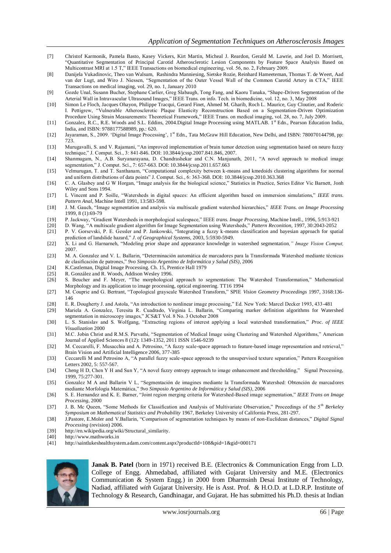- [7] Christof Karmonik, Pamela Basto, Kasey Vickers, Kirt Martin, Micheal J. Reardon, Gerald M. Lawrie, and Joel D. Morrisett, "Quantitative Segmentation of Principal Carotid Atherosclerotic Lesion Components by Feature Space Analysis Based on Multicontrast MRI at 1.5 T," IEEE Transactions on biomedical engineering, vol. 56, no. 2, February 2009.
- [8] Danijela Vukadinovic, Theo van Walsum, Rashindra Manniesing, Sietske Rozie, Reinhard Hameeteman, Thomas T. de Weert, Aad van der Lugt, and Wiro J. Niessen, "Segmentation of the Outer Vessel Wall of the Common Carotid Artery in CTA," IEEE Transactions on medical imaging, vol. 29, no. 1, January 2010
- [9] Gozde Unal, Susann Bucher, Stephane Carlier, Greg Slabaugh, Tong Fang, and Kaoru Tanaka, "Shape-Driven Segmentation of the Arterial Wall in Intravascular Ultrasound Images," IEEE Trans. on info. Tech. in biomedicine, vol. 12, no. 3, May 2008
- [10] Simon Le Floch, Jacques Ohayon, Philippe Tracqui, Gerard Finet, Ahmed M. Gharib, Roch L. Maurice, Guy Cloutier, and Roderic I. Pettigrew, "Vulnerable Atherosclerotic Plaque Elasticity Reconstruction Based on a Segmentation-Driven Optimization Procedure Using Strain Measurements: Theoretical Framework," IEEE Trans. on medical imaging, vol. 28, no. 7, July 2009.
- [11] Gonzalez, R.C., R.E. Woods and S.L. Eddins, 2004.Digital Image Processing using MATLAB. 1st Edn., Pearson Education India, India, and ISBN: 9788177588989, pp.: 620.
- [12] Javaraman, S., 2009. 'Digital Image Processing', 1<sup>st</sup> Edn., Tata McGraw Hill Education, New Delhi, and ISBN: 780070144798, pp: 723.
- [13] Murugavalli, S. and V. Rajamani, "An improved implementation of brain tumor detection using segmentation based on neuro fuzzy technique," J. Comput. Sci., 3: 841-846. DOI: 10.3844/jcssp.2007.841.846, 2007.
- [14] Shanmugam, N., A.B. Suryanarayana, D. Chandrashekar and C.N. Manjunath, 2011, "A novel approach to medical image segmentation," J. Comput. Sci., 7: 657-663. DOI: 10.3844/jcssp.2011.657.663
- [15] Velmurugan, T. and T. Santhanam, "Computational complexity between k-means and kmedoids clustering algorithms for normal and uniform distributions of data points" J. Comput. Sci., 6: 363-368. DOI: 10.3844/jcssp.2010.363.368
- [16] C. A. Glasbey and G W Horgan, "Image analysis for the biological science," Statistics in Practice, Series Editor Vic Barnett, Jonh Wiley and Sons 1994.
- [17] L Vincent and P. Soille, "Watersheds in digital spaces: An efficient algorithm based on immersion simulations," *IEEE trans. Pattern Anal*, Machine Intell 1991, 13:583-598.
- [18] J. M. Gauch, "Image segmentation and analysis via multiscale gradient watershed hierarchies," *IEEE Trans. on Image Processing*  1999, 8 (1):69-79
- [19] P. Jackway, "Gradient Watersheds in morphological scalespace," IEEE *trans. Image Processing*, Machine Intell., 1996, 5:913-921
- [20] D. Wang, "A multiscale gradient algorithm for Image Segmentation using Watersheds," *Pattern Reconition,* 1997, 30:2043-2052
- [21] P. V. Gorsevski, P. E. Gessler and P. Jankowski, "Integrating a fuzzy k-means classification and bayesian approach for spatial prediction of landslide hazard," *J. of Geographical Systems,* 2003, 5:5930-5949.
- [22] X. Li and G. Harnarneh, "Modeling prior shape and appearance knowledge in watershed segmentation*," Image Vision Comput,*  2007.
- [23] M. A. Gonzalez and V. L. Ballarin, "Determinación automática de marcadores para la Transformada Watershed mediante técnicas de clasificación de patrones," *9vo Simposio Argentino de Informática y Salud (SIS)*, 2006
- [24] K.Castleman, Digital Image Processing. Ch. 15, Prentice Hall 1979
- [25] R. González and R. Woods, Addison Wesley 1996.
- [26] S. Beucher and F. Meyer, "The morphological approach to segmentation: The Watershed Transformation," Mathematical Morphology and its application to image processing, optical engineering. TT16 1994
- [27] M. Couprie and G. Bertrant, "Topological grayscale Watershed Transform," SPIE *Vision Geometry Proceedings* 1997, 3168:136- 146
- [28] E. R. Dougherty J. and Astola, "An introduction to nonlinear image processing," Ed. New York: Marcel Decker 1993, 433-481
- [29] Mariela A. Gonzalez, Teresita R. Cuadrado, Virginia L. Ballarin, "Comparing marker definition algorithms for Watershed segmentation in microscopy images," JCS&T Vol. 8 No. 3 October 2008
- [30] L. S. Stanislav and S. Wolfgang, "Extracting regions of interest applying a local watershed transformation," *Proc. of IEEE Visualization* 2000
- [31] M.C. Jobin Christ and R.M.S. Parvathi, "Segmentation of Medical Image using Clustering and Watershed Algorithms," American Journal of Applied Sciences 8 (12): 1349-1352, 2011 ISSN 1546-9239
- [32] M. Ceccarelli, F. Musacchia and A. Petrosino, "A fuzzy scale-space approach to feature-based image representation and retrieval," Brain Vision and Artificial Intelligence 2006, 377-385
- [33] Ceccarelli M and Petrosino A, "A parallel fuzzy scale-space approach to the unsupervised texture separation," Pattern Recognition Letters 2002, 5: 557-567.
- [34] Cheng H D, Chen Y H and Sun Y, "A novel fuzzy entropy approach to image enhancement and thresholding," Signal Processing, 1999, 75:277-301.
- [35] Gonzalez M A and Ballarin V L, "Segmentación de imagines mediante la Transformada Watershed: Obtención de marcadores mediante Morfología Matemática," *9vo Simposio Argentino de Informática y Salud (SIS)*, 2006
- [36] S. E. Hernandez and K. E. Barner, "Joint region merging criteria for Watershed-Based image segmentation," *IEEE Trans on Image Processing,* 2000
- [37] J. B. Mc Queen, "Some Methods for Classification and Analysis of Multivariate Observation," Proceedings of the 5<sup>th</sup> *Berkeley Symposium on Mathematical Statistics and Probability* 1967, Berkeley University of California Press, 281-297.
- [38] J.Pastore, E.Moler and V.Ballarin, "Comparison of segmentation techniques by means of non-Euclidean distances," *Digital Signal Processing* (revision) 2006.
- [39] http://en.wikipedia.org/wiki/Structural\_similarity.
- [40] http://www.mathworks.in
- [41] http://saintlukeshealthsystem.adam.com/content.aspx?productId=108&pid=1&gid=000171



**Janak B. Patel** (born in 1971) received B.E. (Electronics & Communication Engg from L.D. College of Engg. Ahmedabad, affiliated with Gujarat University and M.E. (Electronics Communication & System Engg.) in 2000 from Dharmsinh Desai Institute of Technology, Nadiad, affiliated *with* Gujarat University. He is Asst. Prof. & H.O.D. at L.D.R.P. Institute of Technology & Research, Gandhinagar, and Gujarat. He has submitted his Ph.D. thesis at Indian